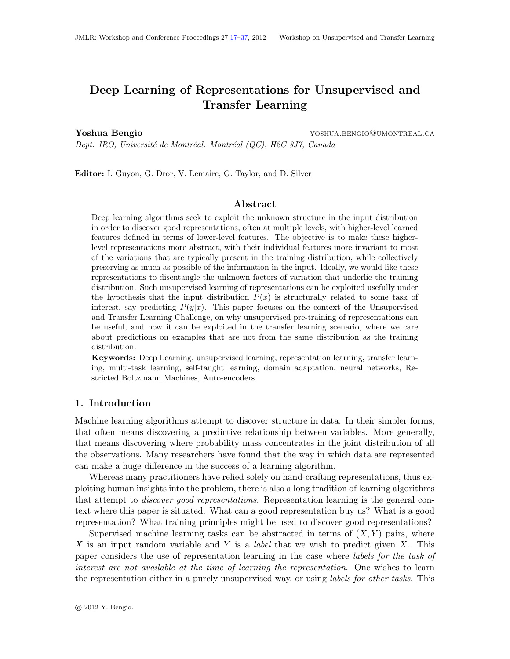# Deep Learning of Representations for Unsupervised and Transfer Learning

Yoshua Bengio and a member of the series of the yoshua.bengio@umontreal.ca Dept. IRO, Université de Montréal. Montréal (QC), H2C 3J7, Canada

Editor: I. Guyon, G. Dror, V. Lemaire, G. Taylor, and D. Silver

## Abstract

Deep learning algorithms seek to exploit the unknown structure in the input distribution in order to discover good representations, often at multiple levels, with higher-level learned features defined in terms of lower-level features. The objective is to make these higherlevel representations more abstract, with their individual features more invariant to most of the variations that are typically present in the training distribution, while collectively preserving as much as possible of the information in the input. Ideally, we would like these representations to disentangle the unknown factors of variation that underlie the training distribution. Such unsupervised learning of representations can be exploited usefully under the hypothesis that the input distribution  $P(x)$  is structurally related to some task of interest, say predicting  $P(y|x)$ . This paper focuses on the context of the Unsupervised and Transfer Learning Challenge, on why unsupervised pre-training of representations can be useful, and how it can be exploited in the transfer learning scenario, where we care about predictions on examples that are not from the same distribution as the training distribution.

Keywords: Deep Learning, unsupervised learning, representation learning, transfer learning, multi-task learning, self-taught learning, domain adaptation, neural networks, Restricted Boltzmann Machines, Auto-encoders.

# 1. Introduction

Machine learning algorithms attempt to discover structure in data. In their simpler forms, that often means discovering a predictive relationship between variables. More generally, that means discovering where probability mass concentrates in the joint distribution of all the observations. Many researchers have found that the way in which data are represented can make a huge difference in the success of a learning algorithm.

Whereas many practitioners have relied solely on hand-crafting representations, thus exploiting human insights into the problem, there is also a long tradition of learning algorithms that attempt to *discover good representations*. Representation learning is the general context where this paper is situated. What can a good representation buy us? What is a good representation? What training principles might be used to discover good representations?

Supervised machine learning tasks can be abstracted in terms of  $(X, Y)$  pairs, where  $X$  is an input random variable and Y is a *label* that we wish to predict given  $X$ . This paper considers the use of representation learning in the case where labels for the task of interest are not available at the time of learning the representation. One wishes to learn the representation either in a purely unsupervised way, or using *labels for other tasks*. This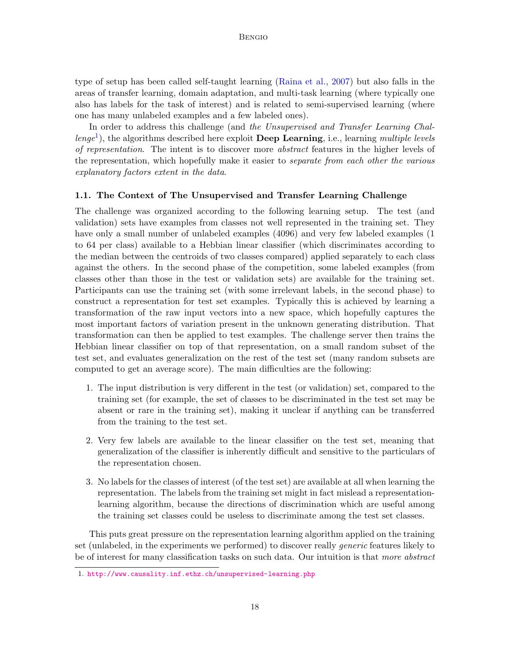type of setup has been called self-taught learning [\(Raina et al.,](#page-19-0) [2007\)](#page-19-0) but also falls in the areas of transfer learning, domain adaptation, and multi-task learning (where typically one also has labels for the task of interest) and is related to semi-supervised learning (where one has many unlabeled examples and a few labeled ones).

In order to address this challenge (and the Unsupervised and Transfer Learning Chal- $lenge<sup>1</sup>$  $lenge<sup>1</sup>$  $lenge<sup>1</sup>$ ), the algorithms described here exploit **Deep Learning**, i.e., learning multiple levels of representation. The intent is to discover more abstract features in the higher levels of the representation, which hopefully make it easier to *separate from each other the various* explanatory factors extent in the data.

## 1.1. The Context of The Unsupervised and Transfer Learning Challenge

The challenge was organized according to the following learning setup. The test (and validation) sets have examples from classes not well represented in the training set. They have only a small number of unlabeled examples (4096) and very few labeled examples (1 to 64 per class) available to a Hebbian linear classifier (which discriminates according to the median between the centroids of two classes compared) applied separately to each class against the others. In the second phase of the competition, some labeled examples (from classes other than those in the test or validation sets) are available for the training set. Participants can use the training set (with some irrelevant labels, in the second phase) to construct a representation for test set examples. Typically this is achieved by learning a transformation of the raw input vectors into a new space, which hopefully captures the most important factors of variation present in the unknown generating distribution. That transformation can then be applied to test examples. The challenge server then trains the Hebbian linear classifier on top of that representation, on a small random subset of the test set, and evaluates generalization on the rest of the test set (many random subsets are computed to get an average score). The main difficulties are the following:

- 1. The input distribution is very different in the test (or validation) set, compared to the training set (for example, the set of classes to be discriminated in the test set may be absent or rare in the training set), making it unclear if anything can be transferred from the training to the test set.
- 2. Very few labels are available to the linear classifier on the test set, meaning that generalization of the classifier is inherently difficult and sensitive to the particulars of the representation chosen.
- 3. No labels for the classes of interest (of the test set) are available at all when learning the representation. The labels from the training set might in fact mislead a representationlearning algorithm, because the directions of discrimination which are useful among the training set classes could be useless to discriminate among the test set classes.

This puts great pressure on the representation learning algorithm applied on the training set (unlabeled, in the experiments we performed) to discover really *generic* features likely to be of interest for many classification tasks on such data. Our intuition is that more abstract

<span id="page-1-0"></span><sup>1.</sup> <http://www.causality.inf.ethz.ch/unsupervised-learning.php>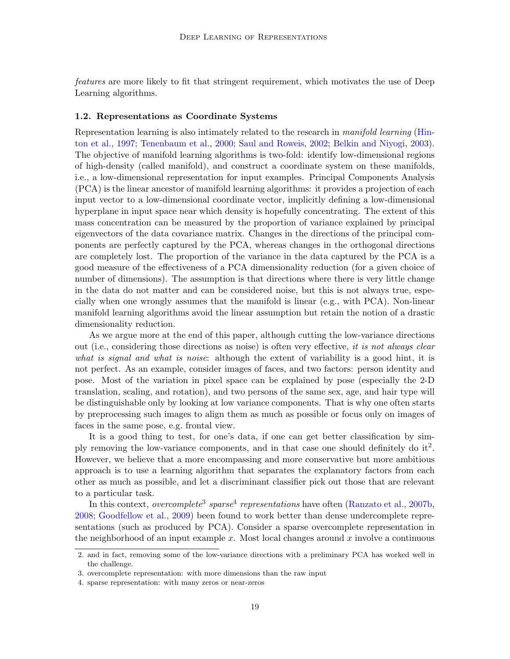features are more likely to fit that stringent requirement, which motivates the use of Deep Learning algorithms.

#### 1.2. Representations as Coordinate Systems

Representation learning is also intimately related to the research in manifold learning [\(Hin](#page-18-0)[ton et al.,](#page-18-0) [1997;](#page-18-0) [Tenenbaum et al.,](#page-20-1) [2000;](#page-20-1) [Saul and Roweis,](#page-20-2) [2002;](#page-20-2) [Belkin and Niyogi,](#page-16-0) [2003\)](#page-16-0). The objective of manifold learning algorithms is two-fold: identify low-dimensional regions of high-density (called manifold), and construct a coordinate system on these manifolds, i.e., a low-dimensional representation for input examples. Principal Components Analysis (PCA) is the linear ancestor of manifold learning algorithms: it provides a projection of each input vector to a low-dimensional coordinate vector, implicitly defining a low-dimensional hyperplane in input space near which density is hopefully concentrating. The extent of this mass concentration can be measured by the proportion of variance explained by principal eigenvectors of the data covariance matrix. Changes in the directions of the principal components are perfectly captured by the PCA, whereas changes in the orthogonal directions are completely lost. The proportion of the variance in the data captured by the PCA is a good measure of the effectiveness of a PCA dimensionality reduction (for a given choice of number of dimensions). The assumption is that directions where there is very little change in the data do not matter and can be considered noise, but this is not always true, especially when one wrongly assumes that the manifold is linear (e.g., with PCA). Non-linear manifold learning algorithms avoid the linear assumption but retain the notion of a drastic dimensionality reduction.

As we argue more at the end of this paper, although cutting the low-variance directions out (i.e., considering those directions as noise) is often very effective, it is not always clear what is signal and what is noise: although the extent of variability is a good hint, it is not perfect. As an example, consider images of faces, and two factors: person identity and pose. Most of the variation in pixel space can be explained by pose (especially the 2-D translation, scaling, and rotation), and two persons of the same sex, age, and hair type will be distinguishable only by looking at low variance components. That is why one often starts by preprocessing such images to align them as much as possible or focus only on images of faces in the same pose, e.g. frontal view.

It is a good thing to test, for one's data, if one can get better classification by simply removing the low-variance components, and in that case one should definitely do  $it^2$  $it^2$ . However, we believe that a more encompassing and more conservative but more ambitious approach is to use a learning algorithm that separates the explanatory factors from each other as much as possible, and let a discriminant classifier pick out those that are relevant to a particular task.

In this context, *overcomplete*<sup>[3](#page-2-1)</sup> sparse<sup>[4](#page-2-2)</sup> representations have often [\(Ranzato et al.,](#page-20-3) [2007b,](#page-20-3) [2008;](#page-20-4) [Goodfellow et al.,](#page-17-0) [2009\)](#page-17-0) been found to work better than dense undercomplete representations (such as produced by PCA). Consider a sparse overcomplete representation in the neighborhood of an input example x. Most local changes around x involve a continuous

<span id="page-2-0"></span><sup>2.</sup> and in fact, removing some of the low-variance directions with a preliminary PCA has worked well in the challenge.

<span id="page-2-1"></span><sup>3.</sup> overcomplete representation: with more dimensions than the raw input

<span id="page-2-2"></span><sup>4.</sup> sparse representation: with many zeros or near-zeros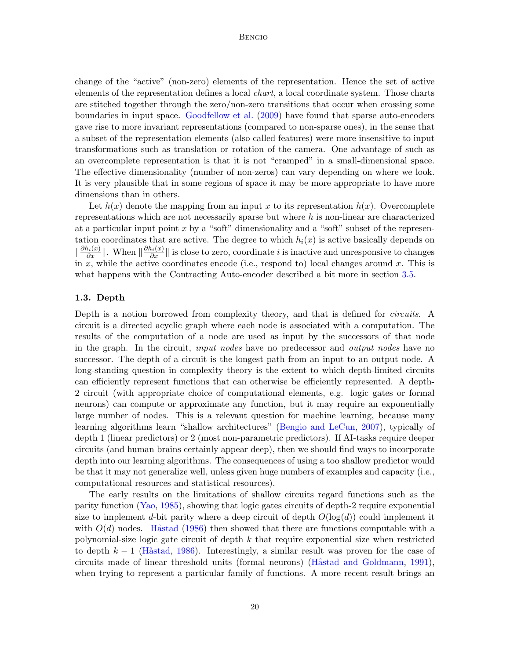change of the "active" (non-zero) elements of the representation. Hence the set of active elements of the representation defines a local *chart*, a local coordinate system. Those charts are stitched together through the zero/non-zero transitions that occur when crossing some boundaries in input space. [Goodfellow et al.](#page-17-0) [\(2009\)](#page-17-0) have found that sparse auto-encoders gave rise to more invariant representations (compared to non-sparse ones), in the sense that a subset of the representation elements (also called features) were more insensitive to input transformations such as translation or rotation of the camera. One advantage of such as an overcomplete representation is that it is not "cramped" in a small-dimensional space. The effective dimensionality (number of non-zeros) can vary depending on where we look. It is very plausible that in some regions of space it may be more appropriate to have more dimensions than in others.

Let  $h(x)$  denote the mapping from an input x to its representation  $h(x)$ . Overcomplete representations which are not necessarily sparse but where  $h$  is non-linear are characterized at a particular input point  $x$  by a "soft" dimensionality and a "soft" subset of the representation coordinates that are active. The degree to which  $h_i(x)$  is active basically depends on  $\|\frac{\partial h_i(x)}{\partial x}\|$ . When  $\|\frac{\partial h_i(x)}{\partial x}\|$  is close to zero, coordinate *i* is inactive and unresponsive to changes in  $x$ , while the active coordinates encode (i.e., respond to) local changes around x. This is what happens with the Contracting Auto-encoder described a bit more in section [3.5.](#page-10-0)

## 1.3. Depth

Depth is a notion borrowed from complexity theory, and that is defined for *circuits*. A circuit is a directed acyclic graph where each node is associated with a computation. The results of the computation of a node are used as input by the successors of that node in the graph. In the circuit, *input nodes* have no predecessor and *output nodes* have no successor. The depth of a circuit is the longest path from an input to an output node. A long-standing question in complexity theory is the extent to which depth-limited circuits can efficiently represent functions that can otherwise be efficiently represented. A depth-2 circuit (with appropriate choice of computational elements, e.g. logic gates or formal neurons) can compute or approximate any function, but it may require an exponentially large number of nodes. This is a relevant question for machine learning, because many learning algorithms learn "shallow architectures" [\(Bengio and LeCun,](#page-16-1) [2007\)](#page-16-1), typically of depth 1 (linear predictors) or 2 (most non-parametric predictors). If AI-tasks require deeper circuits (and human brains certainly appear deep), then we should find ways to incorporate depth into our learning algorithms. The consequences of using a too shallow predictor would be that it may not generalize well, unless given huge numbers of examples and capacity (i.e., computational resources and statistical resources).

The early results on the limitations of shallow circuits regard functions such as the parity function [\(Yao,](#page-20-5) [1985\)](#page-20-5), showing that logic gates circuits of depth-2 require exponential size to implement d-bit parity where a deep circuit of depth  $O(\log(d))$  could implement it with  $O(d)$  nodes. Håstad [\(1986\)](#page-18-1) then showed that there are functions computable with a polynomial-size logic gate circuit of depth  $k$  that require exponential size when restricted to depth  $k-1$  (Håstad, [1986\)](#page-18-1). Interestingly, a similar result was proven for the case of circuits made of linear threshold units (formal neurons) (Håstad and Goldmann, [1991\)](#page-18-2), when trying to represent a particular family of functions. A more recent result brings an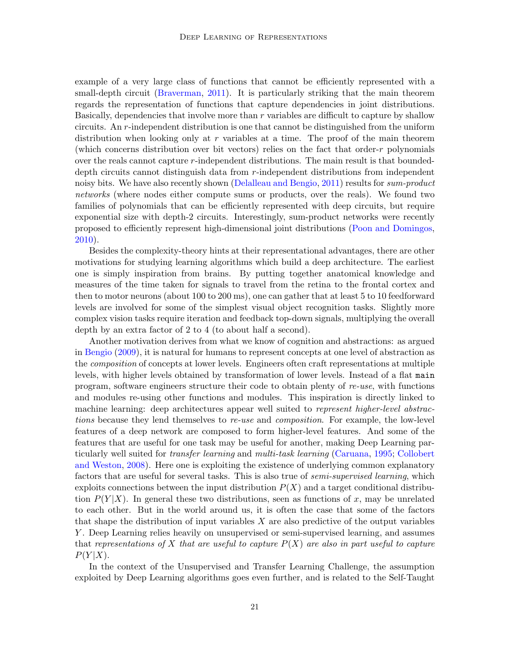example of a very large class of functions that cannot be efficiently represented with a small-depth circuit [\(Braverman,](#page-17-1) [2011\)](#page-17-1). It is particularly striking that the main theorem regards the representation of functions that capture dependencies in joint distributions. Basically, dependencies that involve more than r variables are difficult to capture by shallow circuits. An r-independent distribution is one that cannot be distinguished from the uniform distribution when looking only at r variables at a time. The proof of the main theorem (which concerns distribution over bit vectors) relies on the fact that order-r polynomials over the reals cannot capture  $r$ -independent distributions. The main result is that boundeddepth circuits cannot distinguish data from r-independent distributions from independent noisy bits. We have also recently shown [\(Delalleau and Bengio,](#page-17-2) [2011\)](#page-17-2) results for sum-product networks (where nodes either compute sums or products, over the reals). We found two families of polynomials that can be efficiently represented with deep circuits, but require exponential size with depth-2 circuits. Interestingly, sum-product networks were recently proposed to efficiently represent high-dimensional joint distributions [\(Poon and Domingos,](#page-19-1) [2010\)](#page-19-1).

Besides the complexity-theory hints at their representational advantages, there are other motivations for studying learning algorithms which build a deep architecture. The earliest one is simply inspiration from brains. By putting together anatomical knowledge and measures of the time taken for signals to travel from the retina to the frontal cortex and then to motor neurons (about 100 to 200 ms), one can gather that at least 5 to 10 feedforward levels are involved for some of the simplest visual object recognition tasks. Slightly more complex vision tasks require iteration and feedback top-down signals, multiplying the overall depth by an extra factor of 2 to 4 (to about half a second).

Another motivation derives from what we know of cognition and abstractions: as argued in [Bengio](#page-16-2) [\(2009\)](#page-16-2), it is natural for humans to represent concepts at one level of abstraction as the composition of concepts at lower levels. Engineers often craft representations at multiple levels, with higher levels obtained by transformation of lower levels. Instead of a flat main program, software engineers structure their code to obtain plenty of re-use, with functions and modules re-using other functions and modules. This inspiration is directly linked to machine learning: deep architectures appear well suited to represent higher-level abstractions because they lend themselves to re-use and composition. For example, the low-level features of a deep network are composed to form higher-level features. And some of the features that are useful for one task may be useful for another, making Deep Learning particularly well suited for transfer learning and multi-task learning [\(Caruana,](#page-17-3) [1995;](#page-17-3) [Collobert](#page-17-4) [and Weston,](#page-17-4) [2008\)](#page-17-4). Here one is exploiting the existence of underlying common explanatory factors that are useful for several tasks. This is also true of *semi-supervised learning*, which exploits connections between the input distribution  $P(X)$  and a target conditional distribution  $P(Y|X)$ . In general these two distributions, seen as functions of x, may be unrelated to each other. But in the world around us, it is often the case that some of the factors that shape the distribution of input variables  $X$  are also predictive of the output variables Y . Deep Learning relies heavily on unsupervised or semi-supervised learning, and assumes that representations of X that are useful to capture  $P(X)$  are also in part useful to capture  $P(Y|X)$ .

In the context of the Unsupervised and Transfer Learning Challenge, the assumption exploited by Deep Learning algorithms goes even further, and is related to the Self-Taught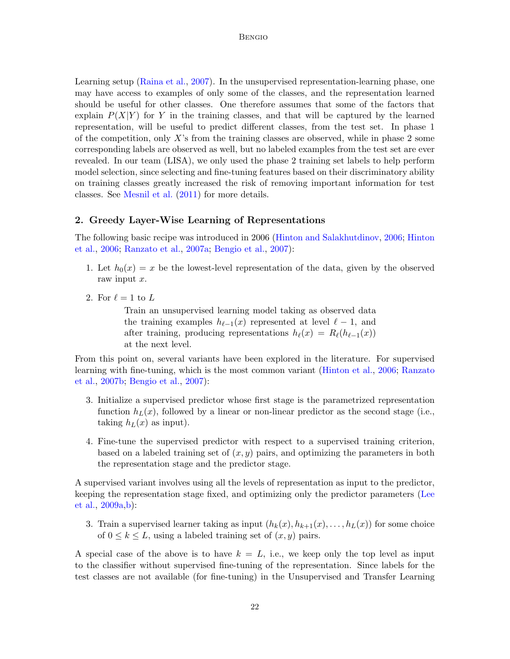Learning setup [\(Raina et al.,](#page-19-0) [2007\)](#page-19-0). In the unsupervised representation-learning phase, one may have access to examples of only some of the classes, and the representation learned should be useful for other classes. One therefore assumes that some of the factors that explain  $P(X|Y)$  for Y in the training classes, and that will be captured by the learned representation, will be useful to predict different classes, from the test set. In phase 1 of the competition, only  $X$ 's from the training classes are observed, while in phase 2 some corresponding labels are observed as well, but no labeled examples from the test set are ever revealed. In our team (LISA), we only used the phase 2 training set labels to help perform model selection, since selecting and fine-tuning features based on their discriminatory ability on training classes greatly increased the risk of removing important information for test classes. See [Mesnil et al.](#page-19-2) [\(2011\)](#page-19-2) for more details.

# 2. Greedy Layer-Wise Learning of Representations

The following basic recipe was introduced in 2006 [\(Hinton and Salakhutdinov,](#page-18-3) [2006;](#page-18-3) [Hinton](#page-18-4) [et al.,](#page-18-4) [2006;](#page-18-4) [Ranzato et al.,](#page-19-3) [2007a;](#page-19-3) [Bengio et al.,](#page-16-3) [2007\)](#page-16-3):

- 1. Let  $h_0(x) = x$  be the lowest-level representation of the data, given by the observed raw input  $x$ .
- 2. For  $\ell = 1$  to L

Train an unsupervised learning model taking as observed data the training examples  $h_{\ell-1}(x)$  represented at level  $\ell - 1$ , and after training, producing representations  $h_{\ell}(x) = R_{\ell}(h_{\ell-1}(x))$ at the next level.

From this point on, several variants have been explored in the literature. For supervised learning with fine-tuning, which is the most common variant [\(Hinton et al.,](#page-18-4) [2006;](#page-18-4) [Ranzato](#page-20-3) [et al.,](#page-20-3) [2007b;](#page-20-3) [Bengio et al.,](#page-16-3) [2007\)](#page-16-3):

- 3. Initialize a supervised predictor whose first stage is the parametrized representation function  $h_L(x)$ , followed by a linear or non-linear predictor as the second stage (i.e., taking  $h_L(x)$  as input).
- 4. Fine-tune the supervised predictor with respect to a supervised training criterion, based on a labeled training set of  $(x, y)$  pairs, and optimizing the parameters in both the representation stage and the predictor stage.

A supervised variant involves using all the levels of representation as input to the predictor, keeping the representation stage fixed, and optimizing only the predictor parameters [\(Lee](#page-18-5) [et al.,](#page-18-5) [2009a](#page-18-5)[,b\)](#page-19-4):

3. Train a supervised learner taking as input  $(h_k(x), h_{k+1}(x), \ldots, h_L(x))$  for some choice of  $0 \leq k \leq L$ , using a labeled training set of  $(x, y)$  pairs.

A special case of the above is to have  $k = L$ , i.e., we keep only the top level as input to the classifier without supervised fine-tuning of the representation. Since labels for the test classes are not available (for fine-tuning) in the Unsupervised and Transfer Learning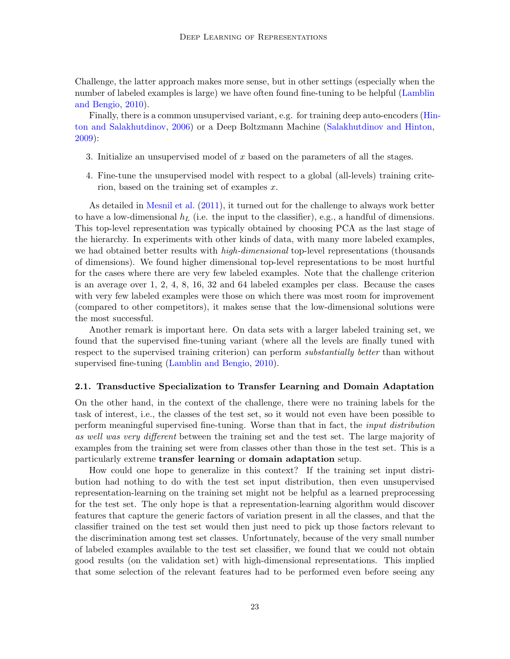Challenge, the latter approach makes more sense, but in other settings (especially when the number of labeled examples is large) we have often found fine-tuning to be helpful [\(Lamblin](#page-18-6) [and Bengio,](#page-18-6) [2010\)](#page-18-6).

Finally, there is a common unsupervised variant, e.g. for training deep auto-encoders [\(Hin](#page-18-3)[ton and Salakhutdinov,](#page-18-3) [2006\)](#page-18-3) or a Deep Boltzmann Machine [\(Salakhutdinov and Hinton,](#page-20-6) [2009\)](#page-20-6):

- 3. Initialize an unsupervised model of x based on the parameters of all the stages.
- 4. Fine-tune the unsupervised model with respect to a global (all-levels) training criterion, based on the training set of examples  $x$ .

As detailed in [Mesnil et al.](#page-19-2) [\(2011\)](#page-19-2), it turned out for the challenge to always work better to have a low-dimensional  $h_L$  (i.e. the input to the classifier), e.g., a handful of dimensions. This top-level representation was typically obtained by choosing PCA as the last stage of the hierarchy. In experiments with other kinds of data, with many more labeled examples, we had obtained better results with *high-dimensional* top-level representations (thousands of dimensions). We found higher dimensional top-level representations to be most hurtful for the cases where there are very few labeled examples. Note that the challenge criterion is an average over 1, 2, 4, 8, 16, 32 and 64 labeled examples per class. Because the cases with very few labeled examples were those on which there was most room for improvement (compared to other competitors), it makes sense that the low-dimensional solutions were the most successful.

Another remark is important here. On data sets with a larger labeled training set, we found that the supervised fine-tuning variant (where all the levels are finally tuned with respect to the supervised training criterion) can perform *substantially better* than without supervised fine-tuning [\(Lamblin and Bengio,](#page-18-6) [2010\)](#page-18-6).

#### 2.1. Transductive Specialization to Transfer Learning and Domain Adaptation

On the other hand, in the context of the challenge, there were no training labels for the task of interest, i.e., the classes of the test set, so it would not even have been possible to perform meaningful supervised fine-tuning. Worse than that in fact, the input distribution as well was very different between the training set and the test set. The large majority of examples from the training set were from classes other than those in the test set. This is a particularly extreme transfer learning or domain adaptation setup.

How could one hope to generalize in this context? If the training set input distribution had nothing to do with the test set input distribution, then even unsupervised representation-learning on the training set might not be helpful as a learned preprocessing for the test set. The only hope is that a representation-learning algorithm would discover features that capture the generic factors of variation present in all the classes, and that the classifier trained on the test set would then just need to pick up those factors relevant to the discrimination among test set classes. Unfortunately, because of the very small number of labeled examples available to the test set classifier, we found that we could not obtain good results (on the validation set) with high-dimensional representations. This implied that some selection of the relevant features had to be performed even before seeing any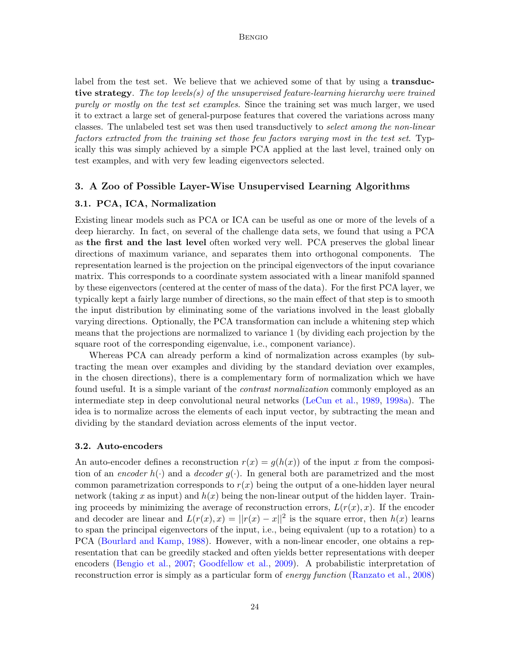label from the test set. We believe that we achieved some of that by using a **transduc**tive strategy. The top levels(s) of the unsupervised feature-learning hierarchy were trained purely or mostly on the test set examples. Since the training set was much larger, we used it to extract a large set of general-purpose features that covered the variations across many classes. The unlabeled test set was then used transductively to select among the non-linear factors extracted from the training set those few factors varying most in the test set. Typically this was simply achieved by a simple PCA applied at the last level, trained only on test examples, and with very few leading eigenvectors selected.

# 3. A Zoo of Possible Layer-Wise Unsupervised Learning Algorithms

## 3.1. PCA, ICA, Normalization

Existing linear models such as PCA or ICA can be useful as one or more of the levels of a deep hierarchy. In fact, on several of the challenge data sets, we found that using a PCA as the first and the last level often worked very well. PCA preserves the global linear directions of maximum variance, and separates them into orthogonal components. The representation learned is the projection on the principal eigenvectors of the input covariance matrix. This corresponds to a coordinate system associated with a linear manifold spanned by these eigenvectors (centered at the center of mass of the data). For the first PCA layer, we typically kept a fairly large number of directions, so the main effect of that step is to smooth the input distribution by eliminating some of the variations involved in the least globally varying directions. Optionally, the PCA transformation can include a whitening step which means that the projections are normalized to variance 1 (by dividing each projection by the square root of the corresponding eigenvalue, i.e., component variance).

Whereas PCA can already perform a kind of normalization across examples (by subtracting the mean over examples and dividing by the standard deviation over examples, in the chosen directions), there is a complementary form of normalization which we have found useful. It is a simple variant of the *contrast normalization* commonly employed as an intermediate step in deep convolutional neural networks [\(LeCun et al.,](#page-18-7) [1989,](#page-18-7) [1998a\)](#page-18-8). The idea is to normalize across the elements of each input vector, by subtracting the mean and dividing by the standard deviation across elements of the input vector.

#### 3.2. Auto-encoders

An auto-encoder defines a reconstruction  $r(x) = g(h(x))$  of the input x from the composition of an encoder  $h(\cdot)$  and a decoder  $q(\cdot)$ . In general both are parametrized and the most common parametrization corresponds to  $r(x)$  being the output of a one-hidden layer neural network (taking x as input) and  $h(x)$  being the non-linear output of the hidden layer. Training proceeds by minimizing the average of reconstruction errors,  $L(r(x), x)$ . If the encoder and decoder are linear and  $L(r(x), x) = ||r(x) - x||^2$  is the square error, then  $h(x)$  learns to span the principal eigenvectors of the input, i.e., being equivalent (up to a rotation) to a PCA [\(Bourlard and Kamp,](#page-17-5) [1988\)](#page-17-5). However, with a non-linear encoder, one obtains a representation that can be greedily stacked and often yields better representations with deeper encoders [\(Bengio et al.,](#page-16-3) [2007;](#page-16-3) [Goodfellow et al.,](#page-17-0) [2009\)](#page-17-0). A probabilistic interpretation of reconstruction error is simply as a particular form of energy function [\(Ranzato et al.,](#page-20-4) [2008\)](#page-20-4)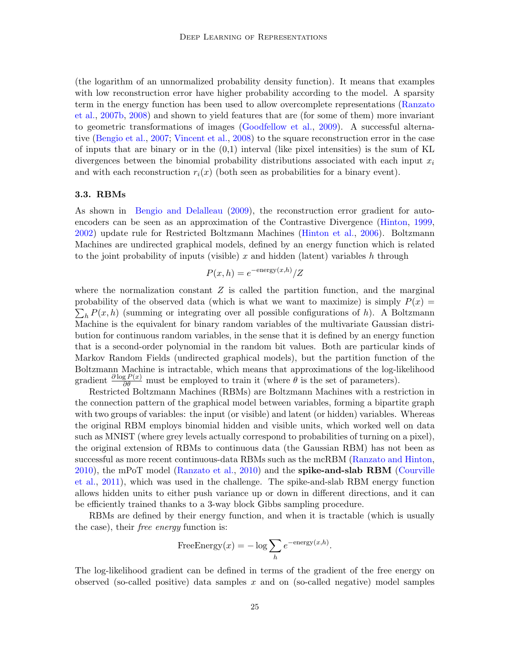(the logarithm of an unnormalized probability density function). It means that examples with low reconstruction error have higher probability according to the model. A sparsity term in the energy function has been used to allow overcomplete representations [\(Ranzato](#page-20-3) [et al.,](#page-20-3) [2007b,](#page-20-3) [2008\)](#page-20-4) and shown to yield features that are (for some of them) more invariant to geometric transformations of images [\(Goodfellow et al.,](#page-17-0) [2009\)](#page-17-0). A successful alternative [\(Bengio et al.,](#page-16-3) [2007;](#page-16-3) [Vincent et al.,](#page-20-7) [2008\)](#page-20-7) to the square reconstruction error in the case of inputs that are binary or in the  $(0,1)$  interval (like pixel intensities) is the sum of KL divergences between the binomial probability distributions associated with each input  $x_i$ and with each reconstruction  $r_i(x)$  (both seen as probabilities for a binary event).

#### 3.3. RBMs

As shown in [Bengio and Delalleau](#page-16-4) [\(2009\)](#page-16-4), the reconstruction error gradient for autoencoders can be seen as an approximation of the Contrastive Divergence [\(Hinton,](#page-18-9) [1999,](#page-18-9) [2002\)](#page-18-10) update rule for Restricted Boltzmann Machines [\(Hinton et al.,](#page-18-4) [2006\)](#page-18-4). Boltzmann Machines are undirected graphical models, defined by an energy function which is related to the joint probability of inputs (visible) x and hidden (latent) variables h through

$$
P(x,h) = e^{-\text{energy}(x,h)}/Z
$$

where the normalization constant  $Z$  is called the partition function, and the marginal probability of the observed data (which is what we want to maximize) is simply  $P(x) =$  $\sum_h P(x, h)$  (summing or integrating over all possible configurations of h). A Boltzmann Machine is the equivalent for binary random variables of the multivariate Gaussian distribution for continuous random variables, in the sense that it is defined by an energy function that is a second-order polynomial in the random bit values. Both are particular kinds of Markov Random Fields (undirected graphical models), but the partition function of the Boltzmann Machine is intractable, which means that approximations of the log-likelihood gradient  $\frac{\partial \log P(x)}{\partial \theta}$  must be employed to train it (where  $\hat{\theta}$  is the set of parameters).

Restricted Boltzmann Machines (RBMs) are Boltzmann Machines with a restriction in the connection pattern of the graphical model between variables, forming a bipartite graph with two groups of variables: the input (or visible) and latent (or hidden) variables. Whereas the original RBM employs binomial hidden and visible units, which worked well on data such as MNIST (where grey levels actually correspond to probabilities of turning on a pixel), the original extension of RBMs to continuous data (the Gaussian RBM) has not been as successful as more recent continuous-data RBMs such as the mcRBM [\(Ranzato and Hinton,](#page-19-5) [2010\)](#page-19-5), the mPoT model [\(Ranzato et al.,](#page-19-6) [2010\)](#page-19-6) and the spike-and-slab RBM [\(Courville](#page-17-6) [et al.,](#page-17-6) [2011\)](#page-17-6), which was used in the challenge. The spike-and-slab RBM energy function allows hidden units to either push variance up or down in different directions, and it can be efficiently trained thanks to a 3-way block Gibbs sampling procedure.

RBMs are defined by their energy function, and when it is tractable (which is usually the case), their free energy function is:

FreeEnergy
$$
(x) = -\log \sum_{h} e^{-\text{energy}(x,h)}
$$
.

The log-likelihood gradient can be defined in terms of the gradient of the free energy on observed (so-called positive) data samples  $x$  and on (so-called negative) model samples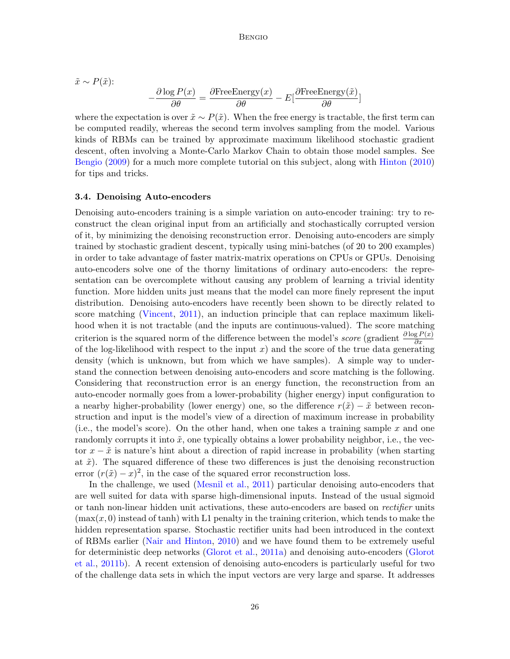$$
\tilde{x} \sim P(\tilde{x})
$$
\n
$$
-\frac{\partial \log P(x)}{\partial \theta} = \frac{\partial \text{FreeEnergy}(x)}{\partial \theta} - E[\frac{\partial \text{FreeEnergy}(\tilde{x})}{\partial \theta}]
$$

where the expectation is over  $\tilde{x} \sim P(\tilde{x})$ . When the free energy is tractable, the first term can be computed readily, whereas the second term involves sampling from the model. Various kinds of RBMs can be trained by approximate maximum likelihood stochastic gradient descent, often involving a Monte-Carlo Markov Chain to obtain those model samples. See [Bengio](#page-16-2) [\(2009\)](#page-16-2) for a much more complete tutorial on this subject, along with [Hinton](#page-18-11) [\(2010\)](#page-18-11) for tips and tricks.

#### 3.4. Denoising Auto-encoders

Denoising auto-encoders training is a simple variation on auto-encoder training: try to reconstruct the clean original input from an artificially and stochastically corrupted version of it, by minimizing the denoising reconstruction error. Denoising auto-encoders are simply trained by stochastic gradient descent, typically using mini-batches (of 20 to 200 examples) in order to take advantage of faster matrix-matrix operations on CPUs or GPUs. Denoising auto-encoders solve one of the thorny limitations of ordinary auto-encoders: the representation can be overcomplete without causing any problem of learning a trivial identity function. More hidden units just means that the model can more finely represent the input distribution. Denoising auto-encoders have recently been shown to be directly related to score matching [\(Vincent,](#page-20-8) [2011\)](#page-20-8), an induction principle that can replace maximum likelihood when it is not tractable (and the inputs are continuous-valued). The score matching criterion is the squared norm of the difference between the model's *score* (gradient  $\frac{\partial \log P(x)}{\partial x}$ of the log-likelihood with respect to the input  $x$ ) and the score of the true data generating density (which is unknown, but from which we have samples). A simple way to understand the connection between denoising auto-encoders and score matching is the following. Considering that reconstruction error is an energy function, the reconstruction from an auto-encoder normally goes from a lower-probability (higher energy) input configuration to a nearby higher-probability (lower energy) one, so the difference  $r(\tilde{x}) - \tilde{x}$  between reconstruction and input is the model's view of a direction of maximum increase in probability (i.e., the model's score). On the other hand, when one takes a training sample  $x$  and one randomly corrupts it into  $\tilde{x}$ , one typically obtains a lower probability neighbor, i.e., the vector  $x - \tilde{x}$  is nature's hint about a direction of rapid increase in probability (when starting at  $\tilde{x}$ ). The squared difference of these two differences is just the denoising reconstruction error  $(r(\tilde{x}) - x)^2$ , in the case of the squared error reconstruction loss.

In the challenge, we used [\(Mesnil et al.,](#page-19-2) [2011\)](#page-19-2) particular denoising auto-encoders that are well suited for data with sparse high-dimensional inputs. Instead of the usual sigmoid or tanh non-linear hidden unit activations, these auto-encoders are based on rectifier units  $(\max(x, 0))$  instead of tanh) with L1 penalty in the training criterion, which tends to make the hidden representation sparse. Stochastic rectifier units had been introduced in the context of RBMs earlier [\(Nair and Hinton,](#page-19-7) [2010\)](#page-19-7) and we have found them to be extremely useful for deterministic deep networks [\(Glorot et al.,](#page-17-7) [2011a\)](#page-17-7) and denoising auto-encoders [\(Glorot](#page-17-8) [et al.,](#page-17-8) [2011b\)](#page-17-8). A recent extension of denoising auto-encoders is particularly useful for two of the challenge data sets in which the input vectors are very large and sparse. It addresses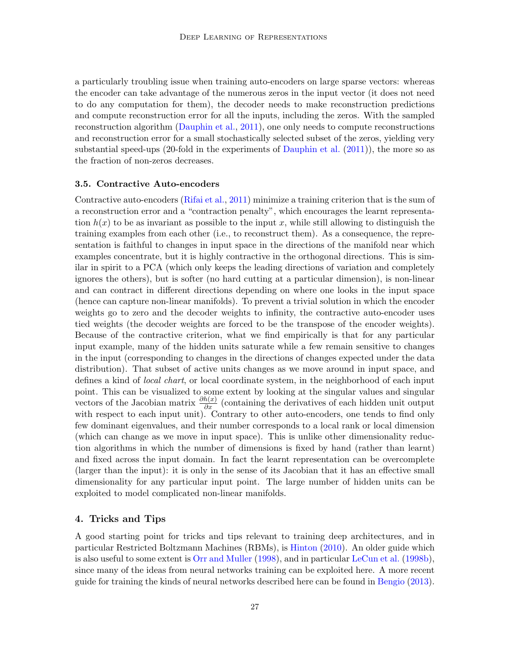a particularly troubling issue when training auto-encoders on large sparse vectors: whereas the encoder can take advantage of the numerous zeros in the input vector (it does not need to do any computation for them), the decoder needs to make reconstruction predictions and compute reconstruction error for all the inputs, including the zeros. With the sampled reconstruction algorithm [\(Dauphin et al.,](#page-17-9) [2011\)](#page-17-9), one only needs to compute reconstructions and reconstruction error for a small stochastically selected subset of the zeros, yielding very substantial speed-ups (20-fold in the experiments of [Dauphin et al.](#page-17-9) [\(2011\)](#page-17-9)), the more so as the fraction of non-zeros decreases.

#### <span id="page-10-0"></span>3.5. Contractive Auto-encoders

Contractive auto-encoders [\(Rifai et al.,](#page-20-9) [2011\)](#page-20-9) minimize a training criterion that is the sum of a reconstruction error and a "contraction penalty", which encourages the learnt representation  $h(x)$  to be as invariant as possible to the input x, while still allowing to distinguish the training examples from each other (i.e., to reconstruct them). As a consequence, the representation is faithful to changes in input space in the directions of the manifold near which examples concentrate, but it is highly contractive in the orthogonal directions. This is similar in spirit to a PCA (which only keeps the leading directions of variation and completely ignores the others), but is softer (no hard cutting at a particular dimension), is non-linear and can contract in different directions depending on where one looks in the input space (hence can capture non-linear manifolds). To prevent a trivial solution in which the encoder weights go to zero and the decoder weights to infinity, the contractive auto-encoder uses tied weights (the decoder weights are forced to be the transpose of the encoder weights). Because of the contractive criterion, what we find empirically is that for any particular input example, many of the hidden units saturate while a few remain sensitive to changes in the input (corresponding to changes in the directions of changes expected under the data distribution). That subset of active units changes as we move around in input space, and defines a kind of *local chart*, or local coordinate system, in the neighborhood of each input point. This can be visualized to some extent by looking at the singular values and singular vectors of the Jacobian matrix  $\frac{\partial h(x)}{\partial x}$  (containing the derivatives of each hidden unit output with respect to each input unit). Contrary to other auto-encoders, one tends to find only few dominant eigenvalues, and their number corresponds to a local rank or local dimension (which can change as we move in input space). This is unlike other dimensionality reduction algorithms in which the number of dimensions is fixed by hand (rather than learnt) and fixed across the input domain. In fact the learnt representation can be overcomplete (larger than the input): it is only in the sense of its Jacobian that it has an effective small dimensionality for any particular input point. The large number of hidden units can be exploited to model complicated non-linear manifolds.

# 4. Tricks and Tips

A good starting point for tricks and tips relevant to training deep architectures, and in particular Restricted Boltzmann Machines (RBMs), is [Hinton](#page-18-11) [\(2010\)](#page-18-11). An older guide which is also useful to some extent is [Orr and Muller](#page-19-8) [\(1998\)](#page-19-8), and in particular [LeCun et al.](#page-18-12) [\(1998b\)](#page-18-12), since many of the ideas from neural networks training can be exploited here. A more recent guide for training the kinds of neural networks described here can be found in [Bengio](#page-16-5) [\(2013\)](#page-16-5).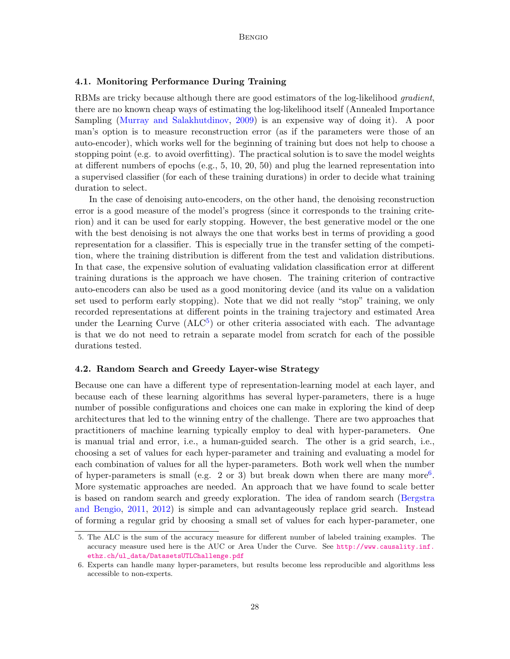# 4.1. Monitoring Performance During Training

RBMs are tricky because although there are good estimators of the log-likelihood *gradient*, there are no known cheap ways of estimating the log-likelihood itself (Annealed Importance Sampling [\(Murray and Salakhutdinov,](#page-19-9) [2009\)](#page-19-9) is an expensive way of doing it). A poor man's option is to measure reconstruction error (as if the parameters were those of an auto-encoder), which works well for the beginning of training but does not help to choose a stopping point (e.g. to avoid overfitting). The practical solution is to save the model weights at different numbers of epochs (e.g.,  $5, 10, 20, 50$ ) and plug the learned representation into a supervised classifier (for each of these training durations) in order to decide what training duration to select.

In the case of denoising auto-encoders, on the other hand, the denoising reconstruction error is a good measure of the model's progress (since it corresponds to the training criterion) and it can be used for early stopping. However, the best generative model or the one with the best denoising is not always the one that works best in terms of providing a good representation for a classifier. This is especially true in the transfer setting of the competition, where the training distribution is different from the test and validation distributions. In that case, the expensive solution of evaluating validation classification error at different training durations is the approach we have chosen. The training criterion of contractive auto-encoders can also be used as a good monitoring device (and its value on a validation set used to perform early stopping). Note that we did not really "stop" training, we only recorded representations at different points in the training trajectory and estimated Area under the Learning Curve  $(ALC^5)$  $(ALC^5)$  $(ALC^5)$  or other criteria associated with each. The advantage is that we do not need to retrain a separate model from scratch for each of the possible durations tested.

# 4.2. Random Search and Greedy Layer-wise Strategy

Because one can have a different type of representation-learning model at each layer, and because each of these learning algorithms has several hyper-parameters, there is a huge number of possible configurations and choices one can make in exploring the kind of deep architectures that led to the winning entry of the challenge. There are two approaches that practitioners of machine learning typically employ to deal with hyper-parameters. One is manual trial and error, i.e., a human-guided search. The other is a grid search, i.e., choosing a set of values for each hyper-parameter and training and evaluating a model for each combination of values for all the hyper-parameters. Both work well when the number of hyper-parameters is small (e.g. 2 or 3) but break down when there are many more<sup>[6](#page-11-1)</sup>. More systematic approaches are needed. An approach that we have found to scale better is based on random search and greedy exploration. The idea of random search [\(Bergstra](#page-16-6) [and Bengio,](#page-16-6) [2011,](#page-16-6) [2012\)](#page-16-7) is simple and can advantageously replace grid search. Instead of forming a regular grid by choosing a small set of values for each hyper-parameter, one

<span id="page-11-0"></span><sup>5.</sup> The ALC is the sum of the accuracy measure for different number of labeled training examples. The accuracy measure used here is the AUC or Area Under the Curve. See [http://www.causality.inf.](http://www.causality.inf.ethz.ch/ul_data/DatasetsUTLChallenge.pdf) [ethz.ch/ul\\_data/DatasetsUTLChallenge.pdf](http://www.causality.inf.ethz.ch/ul_data/DatasetsUTLChallenge.pdf)

<span id="page-11-1"></span><sup>6.</sup> Experts can handle many hyper-parameters, but results become less reproducible and algorithms less accessible to non-experts.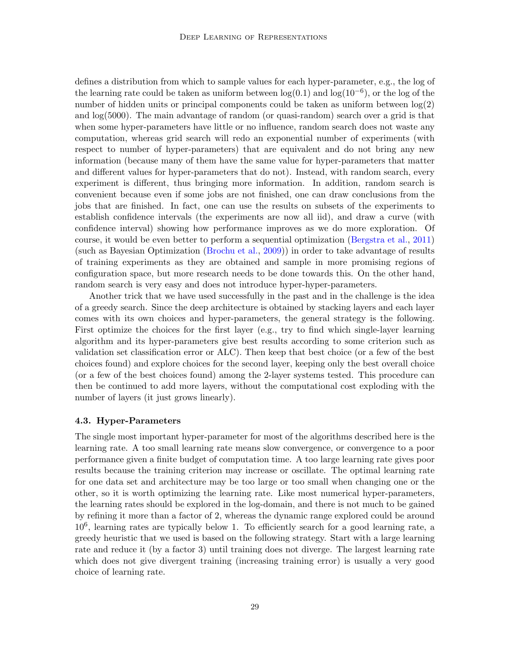defines a distribution from which to sample values for each hyper-parameter, e.g., the log of the learning rate could be taken as uniform between  $log(0.1)$  and  $log(10^{-6})$ , or the log of the number of hidden units or principal components could be taken as uniform between log(2) and log(5000). The main advantage of random (or quasi-random) search over a grid is that when some hyper-parameters have little or no influence, random search does not waste any computation, whereas grid search will redo an exponential number of experiments (with respect to number of hyper-parameters) that are equivalent and do not bring any new information (because many of them have the same value for hyper-parameters that matter and different values for hyper-parameters that do not). Instead, with random search, every experiment is different, thus bringing more information. In addition, random search is convenient because even if some jobs are not finished, one can draw conclusions from the jobs that are finished. In fact, one can use the results on subsets of the experiments to establish confidence intervals (the experiments are now all iid), and draw a curve (with confidence interval) showing how performance improves as we do more exploration. Of course, it would be even better to perform a sequential optimization [\(Bergstra et al.,](#page-17-10) [2011\)](#page-17-10) (such as Bayesian Optimization [\(Brochu et al.,](#page-17-11) [2009\)](#page-17-11)) in order to take advantage of results of training experiments as they are obtained and sample in more promising regions of configuration space, but more research needs to be done towards this. On the other hand, random search is very easy and does not introduce hyper-hyper-parameters.

Another trick that we have used successfully in the past and in the challenge is the idea of a greedy search. Since the deep architecture is obtained by stacking layers and each layer comes with its own choices and hyper-parameters, the general strategy is the following. First optimize the choices for the first layer (e.g., try to find which single-layer learning algorithm and its hyper-parameters give best results according to some criterion such as validation set classification error or ALC). Then keep that best choice (or a few of the best choices found) and explore choices for the second layer, keeping only the best overall choice (or a few of the best choices found) among the 2-layer systems tested. This procedure can then be continued to add more layers, without the computational cost exploding with the number of layers (it just grows linearly).

#### 4.3. Hyper-Parameters

The single most important hyper-parameter for most of the algorithms described here is the learning rate. A too small learning rate means slow convergence, or convergence to a poor performance given a finite budget of computation time. A too large learning rate gives poor results because the training criterion may increase or oscillate. The optimal learning rate for one data set and architecture may be too large or too small when changing one or the other, so it is worth optimizing the learning rate. Like most numerical hyper-parameters, the learning rates should be explored in the log-domain, and there is not much to be gained by refining it more than a factor of 2, whereas the dynamic range explored could be around 10<sup>6</sup> , learning rates are typically below 1. To efficiently search for a good learning rate, a greedy heuristic that we used is based on the following strategy. Start with a large learning rate and reduce it (by a factor 3) until training does not diverge. The largest learning rate which does not give divergent training (increasing training error) is usually a very good choice of learning rate.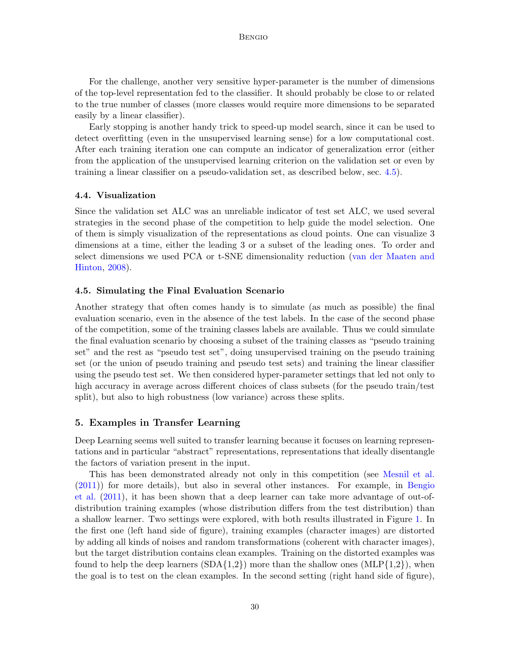For the challenge, another very sensitive hyper-parameter is the number of dimensions of the top-level representation fed to the classifier. It should probably be close to or related to the true number of classes (more classes would require more dimensions to be separated easily by a linear classifier).

Early stopping is another handy trick to speed-up model search, since it can be used to detect overfitting (even in the unsupervised learning sense) for a low computational cost. After each training iteration one can compute an indicator of generalization error (either from the application of the unsupervised learning criterion on the validation set or even by training a linear classifier on a pseudo-validation set, as described below, sec. [4.5\)](#page-13-0).

#### 4.4. Visualization

Since the validation set ALC was an unreliable indicator of test set ALC, we used several strategies in the second phase of the competition to help guide the model selection. One of them is simply visualization of the representations as cloud points. One can visualize 3 dimensions at a time, either the leading 3 or a subset of the leading ones. To order and select dimensions we used PCA or t-SNE dimensionality reduction [\(van der Maaten and](#page-20-10) [Hinton,](#page-20-10) [2008\)](#page-20-10).

## <span id="page-13-0"></span>4.5. Simulating the Final Evaluation Scenario

Another strategy that often comes handy is to simulate (as much as possible) the final evaluation scenario, even in the absence of the test labels. In the case of the second phase of the competition, some of the training classes labels are available. Thus we could simulate the final evaluation scenario by choosing a subset of the training classes as "pseudo training set" and the rest as "pseudo test set", doing unsupervised training on the pseudo training set (or the union of pseudo training and pseudo test sets) and training the linear classifier using the pseudo test set. We then considered hyper-parameter settings that led not only to high accuracy in average across different choices of class subsets (for the pseudo train/test split), but also to high robustness (low variance) across these splits.

## 5. Examples in Transfer Learning

Deep Learning seems well suited to transfer learning because it focuses on learning representations and in particular "abstract" representations, representations that ideally disentangle the factors of variation present in the input.

This has been demonstrated already not only in this competition (see [Mesnil et al.](#page-19-2) [\(2011\)](#page-19-2)) for more details), but also in several other instances. For example, in [Bengio](#page-16-8) [et al.](#page-16-8) [\(2011\)](#page-16-8), it has been shown that a deep learner can take more advantage of out-ofdistribution training examples (whose distribution differs from the test distribution) than a shallow learner. Two settings were explored, with both results illustrated in Figure [1.](#page-14-0) In the first one (left hand side of figure), training examples (character images) are distorted by adding all kinds of noises and random transformations (coherent with character images), but the target distribution contains clean examples. Training on the distorted examples was found to help the deep learners  $(SDA{1,2})$  more than the shallow ones  $(MLP{1,2})$ , when the goal is to test on the clean examples. In the second setting (right hand side of figure),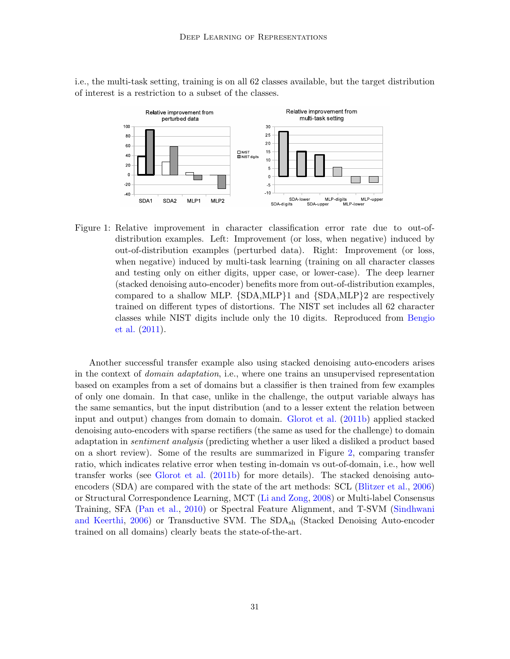i.e., the multi-task setting, training is on all 62 classes available, but the target distribution of interest is a restriction to a subset of the classes.



<span id="page-14-0"></span>Figure 1: Relative improvement in character classification error rate due to out-ofdistribution examples. Left: Improvement (or loss, when negative) induced by out-of-distribution examples (perturbed data). Right: Improvement (or loss, when negative) induced by multi-task learning (training on all character classes and testing only on either digits, upper case, or lower-case). The deep learner (stacked denoising auto-encoder) benefits more from out-of-distribution examples, compared to a shallow MLP. {SDA,MLP}1 and {SDA,MLP}2 are respectively trained on different types of distortions. The NIST set includes all 62 character classes while NIST digits include only the 10 digits. Reproduced from [Bengio](#page-16-8) [et al.](#page-16-8) [\(2011\)](#page-16-8).

Another successful transfer example also using stacked denoising auto-encoders arises in the context of domain adaptation, i.e., where one trains an unsupervised representation based on examples from a set of domains but a classifier is then trained from few examples of only one domain. In that case, unlike in the challenge, the output variable always has the same semantics, but the input distribution (and to a lesser extent the relation between input and output) changes from domain to domain. [Glorot et al.](#page-17-8) [\(2011b\)](#page-17-8) applied stacked denoising auto-encoders with sparse rectifiers (the same as used for the challenge) to domain adaptation in sentiment analysis (predicting whether a user liked a disliked a product based on a short review). Some of the results are summarized in Figure [2,](#page-15-0) comparing transfer ratio, which indicates relative error when testing in-domain vs out-of-domain, i.e., how well transfer works (see [Glorot et al.](#page-17-8) [\(2011b\)](#page-17-8) for more details). The stacked denoising autoencoders (SDA) are compared with the state of the art methods: SCL [\(Blitzer et al.,](#page-17-12) [2006\)](#page-17-12) or Structural Correspondence Learning, MCT [\(Li and Zong,](#page-19-10) [2008\)](#page-19-10) or Multi-label Consensus Training, SFA [\(Pan et al.,](#page-19-11) [2010\)](#page-19-11) or Spectral Feature Alignment, and T-SVM [\(Sindhwani](#page-20-11) [and Keerthi,](#page-20-11) [2006\)](#page-20-11) or Transductive SVM. The SDAsh (Stacked Denoising Auto-encoder trained on all domains) clearly beats the state-of-the-art.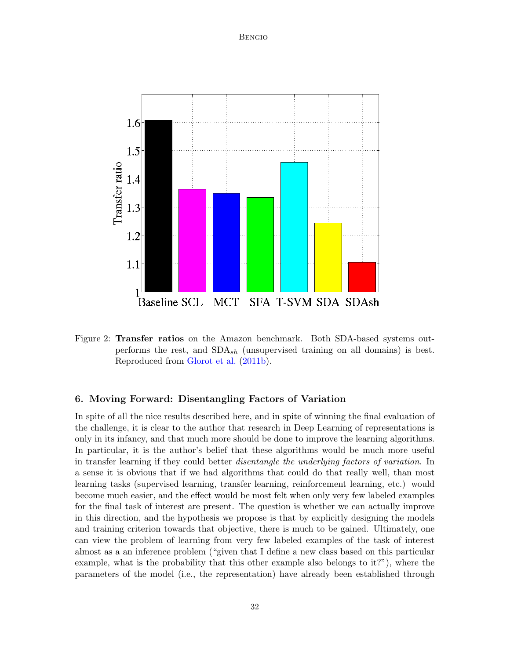

<span id="page-15-0"></span>Figure 2: Transfer ratios on the Amazon benchmark. Both SDA-based systems outperforms the rest, and  $SDA_{sh}$  (unsupervised training on all domains) is best. Reproduced from [Glorot et al.](#page-17-8) [\(2011b\)](#page-17-8).

# 6. Moving Forward: Disentangling Factors of Variation

In spite of all the nice results described here, and in spite of winning the final evaluation of the challenge, it is clear to the author that research in Deep Learning of representations is only in its infancy, and that much more should be done to improve the learning algorithms. In particular, it is the author's belief that these algorithms would be much more useful in transfer learning if they could better *disentangle the underlying factors of variation*. In a sense it is obvious that if we had algorithms that could do that really well, than most learning tasks (supervised learning, transfer learning, reinforcement learning, etc.) would become much easier, and the effect would be most felt when only very few labeled examples for the final task of interest are present. The question is whether we can actually improve in this direction, and the hypothesis we propose is that by explicitly designing the models and training criterion towards that objective, there is much to be gained. Ultimately, one can view the problem of learning from very few labeled examples of the task of interest almost as a an inference problem ("given that I define a new class based on this particular example, what is the probability that this other example also belongs to it?"), where the parameters of the model (i.e., the representation) have already been established through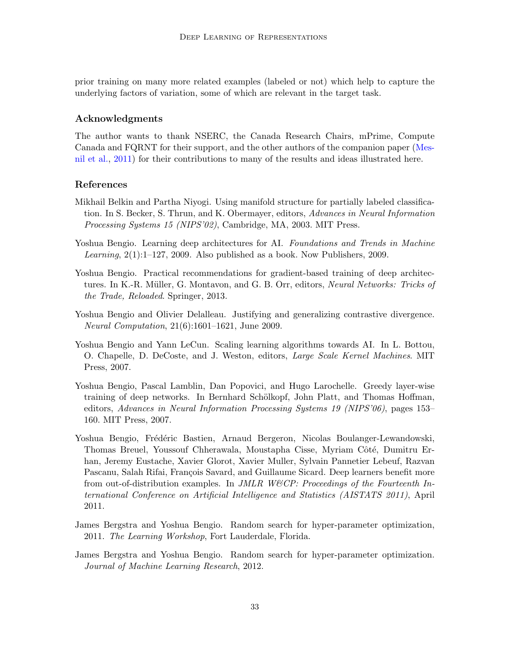prior training on many more related examples (labeled or not) which help to capture the underlying factors of variation, some of which are relevant in the target task.

# Acknowledgments

The author wants to thank NSERC, the Canada Research Chairs, mPrime, Compute Canada and FQRNT for their support, and the other authors of the companion paper [\(Mes](#page-19-2)[nil et al.,](#page-19-2) [2011\)](#page-19-2) for their contributions to many of the results and ideas illustrated here.

# References

- <span id="page-16-0"></span>Mikhail Belkin and Partha Niyogi. Using manifold structure for partially labeled classification. In S. Becker, S. Thrun, and K. Obermayer, editors, Advances in Neural Information Processing Systems 15 (NIPS'02), Cambridge, MA, 2003. MIT Press.
- <span id="page-16-2"></span>Yoshua Bengio. Learning deep architectures for AI. Foundations and Trends in Machine *Learning*,  $2(1):1-127$ , 2009. Also published as a book. Now Publishers, 2009.
- <span id="page-16-5"></span>Yoshua Bengio. Practical recommendations for gradient-based training of deep architectures. In K.-R. Müller, G. Montavon, and G. B. Orr, editors, Neural Networks: Tricks of the Trade, Reloaded. Springer, 2013.
- <span id="page-16-4"></span>Yoshua Bengio and Olivier Delalleau. Justifying and generalizing contrastive divergence. Neural Computation, 21(6):1601–1621, June 2009.
- <span id="page-16-1"></span>Yoshua Bengio and Yann LeCun. Scaling learning algorithms towards AI. In L. Bottou, O. Chapelle, D. DeCoste, and J. Weston, editors, Large Scale Kernel Machines. MIT Press, 2007.
- <span id="page-16-3"></span>Yoshua Bengio, Pascal Lamblin, Dan Popovici, and Hugo Larochelle. Greedy layer-wise training of deep networks. In Bernhard Schölkopf, John Platt, and Thomas Hoffman, editors, Advances in Neural Information Processing Systems 19 (NIPS'06), pages 153– 160. MIT Press, 2007.
- <span id="page-16-8"></span>Yoshua Bengio, Frédéric Bastien, Arnaud Bergeron, Nicolas Boulanger-Lewandowski, Thomas Breuel, Youssouf Chherawala, Moustapha Cisse, Myriam Côté, Dumitru Erhan, Jeremy Eustache, Xavier Glorot, Xavier Muller, Sylvain Pannetier Lebeuf, Razvan Pascanu, Salah Rifai, François Savard, and Guillaume Sicard. Deep learners benefit more from out-of-distribution examples. In JMLR W&CP: Proceedings of the Fourteenth International Conference on Artificial Intelligence and Statistics (AISTATS 2011), April 2011.
- <span id="page-16-6"></span>James Bergstra and Yoshua Bengio. Random search for hyper-parameter optimization, 2011. The Learning Workshop, Fort Lauderdale, Florida.
- <span id="page-16-7"></span>James Bergstra and Yoshua Bengio. Random search for hyper-parameter optimization. Journal of Machine Learning Research, 2012.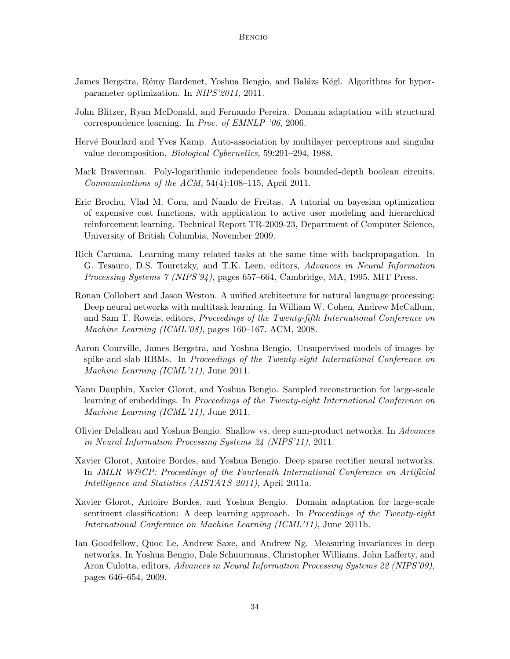- <span id="page-17-10"></span>James Bergstra, Rémy Bardenet, Yoshua Bengio, and Balázs Kégl. Algorithms for hyperparameter optimization. In NIPS'2011, 2011.
- <span id="page-17-12"></span>John Blitzer, Ryan McDonald, and Fernando Pereira. Domain adaptation with structural correspondence learning. In Proc. of EMNLP '06, 2006.
- <span id="page-17-5"></span>Hervé Bourlard and Yves Kamp. Auto-association by multilayer perceptrons and singular value decomposition. Biological Cybernetics, 59:291–294, 1988.
- <span id="page-17-1"></span>Mark Braverman. Poly-logarithmic independence fools bounded-depth boolean circuits. Communications of the ACM, 54(4):108–115, April 2011.
- <span id="page-17-11"></span>Eric Brochu, Vlad M. Cora, and Nando de Freitas. A tutorial on bayesian optimization of expensive cost functions, with application to active user modeling and hierarchical reinforcement learning. Technical Report TR-2009-23, Department of Computer Science, University of British Columbia, November 2009.
- <span id="page-17-3"></span>Rich Caruana. Learning many related tasks at the same time with backpropagation. In G. Tesauro, D.S. Touretzky, and T.K. Leen, editors, Advances in Neural Information Processing Systems 7 (NIPS'94), pages 657–664, Cambridge, MA, 1995. MIT Press.
- <span id="page-17-4"></span>Ronan Collobert and Jason Weston. A unified architecture for natural language processing: Deep neural networks with multitask learning. In William W. Cohen, Andrew McCallum, and Sam T. Roweis, editors, Proceedings of the Twenty-fifth International Conference on Machine Learning (ICML'08), pages 160–167. ACM, 2008.
- <span id="page-17-6"></span>Aaron Courville, James Bergstra, and Yoshua Bengio. Unsupervised models of images by spike-and-slab RBMs. In *Proceedings of the Twenty-eight International Conference on* Machine Learning (ICML'11), June 2011.
- <span id="page-17-9"></span>Yann Dauphin, Xavier Glorot, and Yoshua Bengio. Sampled reconstruction for large-scale learning of embeddings. In Proceedings of the Twenty-eight International Conference on Machine Learning (ICML'11), June 2011.
- <span id="page-17-2"></span>Olivier Delalleau and Yoshua Bengio. Shallow vs. deep sum-product networks. In Advances in Neural Information Processing Systems 24 (NIPS'11), 2011.
- <span id="page-17-7"></span>Xavier Glorot, Antoire Bordes, and Yoshua Bengio. Deep sparse rectifier neural networks. In JMLR W&CP: Proceedings of the Fourteenth International Conference on Artificial Intelligence and Statistics (AISTATS 2011), April 2011a.
- <span id="page-17-8"></span>Xavier Glorot, Antoire Bordes, and Yoshua Bengio. Domain adaptation for large-scale sentiment classification: A deep learning approach. In Proceedings of the Twenty-eight International Conference on Machine Learning (ICML'11), June 2011b.
- <span id="page-17-0"></span>Ian Goodfellow, Quoc Le, Andrew Saxe, and Andrew Ng. Measuring invariances in deep networks. In Yoshua Bengio, Dale Schuurmans, Christopher Williams, John Lafferty, and Aron Culotta, editors, Advances in Neural Information Processing Systems 22 (NIPS'09), pages 646–654, 2009.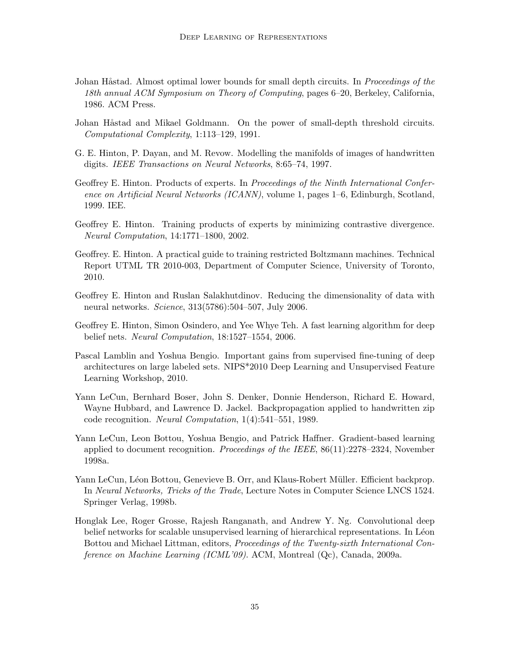- <span id="page-18-1"></span>Johan Håstad. Almost optimal lower bounds for small depth circuits. In *Proceedings of the* 18th annual ACM Symposium on Theory of Computing, pages 6–20, Berkeley, California, 1986. ACM Press.
- <span id="page-18-2"></span>Johan Håstad and Mikael Goldmann. On the power of small-depth threshold circuits. Computational Complexity, 1:113–129, 1991.
- <span id="page-18-0"></span>G. E. Hinton, P. Dayan, and M. Revow. Modelling the manifolds of images of handwritten digits. IEEE Transactions on Neural Networks, 8:65–74, 1997.
- <span id="page-18-9"></span>Geoffrey E. Hinton. Products of experts. In *Proceedings of the Ninth International Confer*ence on Artificial Neural Networks (ICANN), volume 1, pages 1–6, Edinburgh, Scotland, 1999. IEE.
- <span id="page-18-10"></span>Geoffrey E. Hinton. Training products of experts by minimizing contrastive divergence. Neural Computation, 14:1771–1800, 2002.
- <span id="page-18-11"></span>Geoffrey. E. Hinton. A practical guide to training restricted Boltzmann machines. Technical Report UTML TR 2010-003, Department of Computer Science, University of Toronto, 2010.
- <span id="page-18-3"></span>Geoffrey E. Hinton and Ruslan Salakhutdinov. Reducing the dimensionality of data with neural networks. Science, 313(5786):504–507, July 2006.
- <span id="page-18-4"></span>Geoffrey E. Hinton, Simon Osindero, and Yee Whye Teh. A fast learning algorithm for deep belief nets. Neural Computation, 18:1527–1554, 2006.
- <span id="page-18-6"></span>Pascal Lamblin and Yoshua Bengio. Important gains from supervised fine-tuning of deep architectures on large labeled sets. NIPS\*2010 Deep Learning and Unsupervised Feature Learning Workshop, 2010.
- <span id="page-18-7"></span>Yann LeCun, Bernhard Boser, John S. Denker, Donnie Henderson, Richard E. Howard, Wayne Hubbard, and Lawrence D. Jackel. Backpropagation applied to handwritten zip code recognition. Neural Computation, 1(4):541–551, 1989.
- <span id="page-18-8"></span>Yann LeCun, Leon Bottou, Yoshua Bengio, and Patrick Haffner. Gradient-based learning applied to document recognition. Proceedings of the IEEE, 86(11):2278–2324, November 1998a.
- <span id="page-18-12"></span>Yann LeCun, Léon Bottou, Genevieve B. Orr, and Klaus-Robert Müller. Efficient backprop. In Neural Networks, Tricks of the Trade, Lecture Notes in Computer Science LNCS 1524. Springer Verlag, 1998b.
- <span id="page-18-5"></span>Honglak Lee, Roger Grosse, Rajesh Ranganath, and Andrew Y. Ng. Convolutional deep belief networks for scalable unsupervised learning of hierarchical representations. In Léon Bottou and Michael Littman, editors, Proceedings of the Twenty-sixth International Conference on Machine Learning (ICML'09). ACM, Montreal (Qc), Canada, 2009a.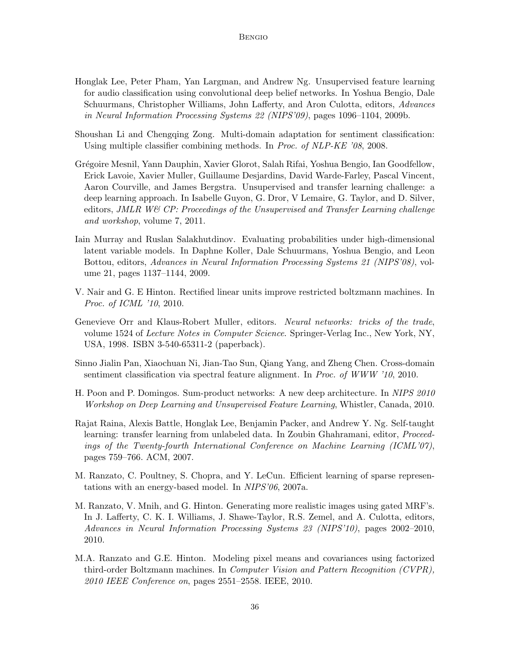- <span id="page-19-4"></span>Honglak Lee, Peter Pham, Yan Largman, and Andrew Ng. Unsupervised feature learning for audio classification using convolutional deep belief networks. In Yoshua Bengio, Dale Schuurmans, Christopher Williams, John Lafferty, and Aron Culotta, editors, Advances in Neural Information Processing Systems 22 (NIPS'09), pages 1096–1104, 2009b.
- <span id="page-19-10"></span>Shoushan Li and Chengqing Zong. Multi-domain adaptation for sentiment classification: Using multiple classifier combining methods. In Proc. of NLP-KE '08, 2008.
- <span id="page-19-2"></span>Gr´egoire Mesnil, Yann Dauphin, Xavier Glorot, Salah Rifai, Yoshua Bengio, Ian Goodfellow, Erick Lavoie, Xavier Muller, Guillaume Desjardins, David Warde-Farley, Pascal Vincent, Aaron Courville, and James Bergstra. Unsupervised and transfer learning challenge: a deep learning approach. In Isabelle Guyon, G. Dror, V Lemaire, G. Taylor, and D. Silver, editors, JMLR W& CP: Proceedings of the Unsupervised and Transfer Learning challenge and workshop, volume 7, 2011.
- <span id="page-19-9"></span>Iain Murray and Ruslan Salakhutdinov. Evaluating probabilities under high-dimensional latent variable models. In Daphne Koller, Dale Schuurmans, Yoshua Bengio, and Leon Bottou, editors, Advances in Neural Information Processing Systems 21 (NIPS'08), volume 21, pages 1137–1144, 2009.
- <span id="page-19-7"></span>V. Nair and G. E Hinton. Rectified linear units improve restricted boltzmann machines. In Proc. of ICML '10, 2010.
- <span id="page-19-8"></span>Genevieve Orr and Klaus-Robert Muller, editors. Neural networks: tricks of the trade, volume 1524 of Lecture Notes in Computer Science. Springer-Verlag Inc., New York, NY, USA, 1998. ISBN 3-540-65311-2 (paperback).
- <span id="page-19-11"></span>Sinno Jialin Pan, Xiaochuan Ni, Jian-Tao Sun, Qiang Yang, and Zheng Chen. Cross-domain sentiment classification via spectral feature alignment. In Proc. of WWW '10, 2010.
- <span id="page-19-1"></span>H. Poon and P. Domingos. Sum-product networks: A new deep architecture. In NIPS 2010 Workshop on Deep Learning and Unsupervised Feature Learning, Whistler, Canada, 2010.
- <span id="page-19-0"></span>Rajat Raina, Alexis Battle, Honglak Lee, Benjamin Packer, and Andrew Y. Ng. Self-taught learning: transfer learning from unlabeled data. In Zoubin Ghahramani, editor, Proceedings of the Twenty-fourth International Conference on Machine Learning (ICML'07), pages 759–766. ACM, 2007.
- <span id="page-19-3"></span>M. Ranzato, C. Poultney, S. Chopra, and Y. LeCun. Efficient learning of sparse representations with an energy-based model. In NIPS'06, 2007a.
- <span id="page-19-6"></span>M. Ranzato, V. Mnih, and G. Hinton. Generating more realistic images using gated MRF's. In J. Lafferty, C. K. I. Williams, J. Shawe-Taylor, R.S. Zemel, and A. Culotta, editors, Advances in Neural Information Processing Systems 23 (NIPS'10), pages 2002–2010, 2010.
- <span id="page-19-5"></span>M.A. Ranzato and G.E. Hinton. Modeling pixel means and covariances using factorized third-order Boltzmann machines. In Computer Vision and Pattern Recognition (CVPR), 2010 IEEE Conference on, pages 2551–2558. IEEE, 2010.